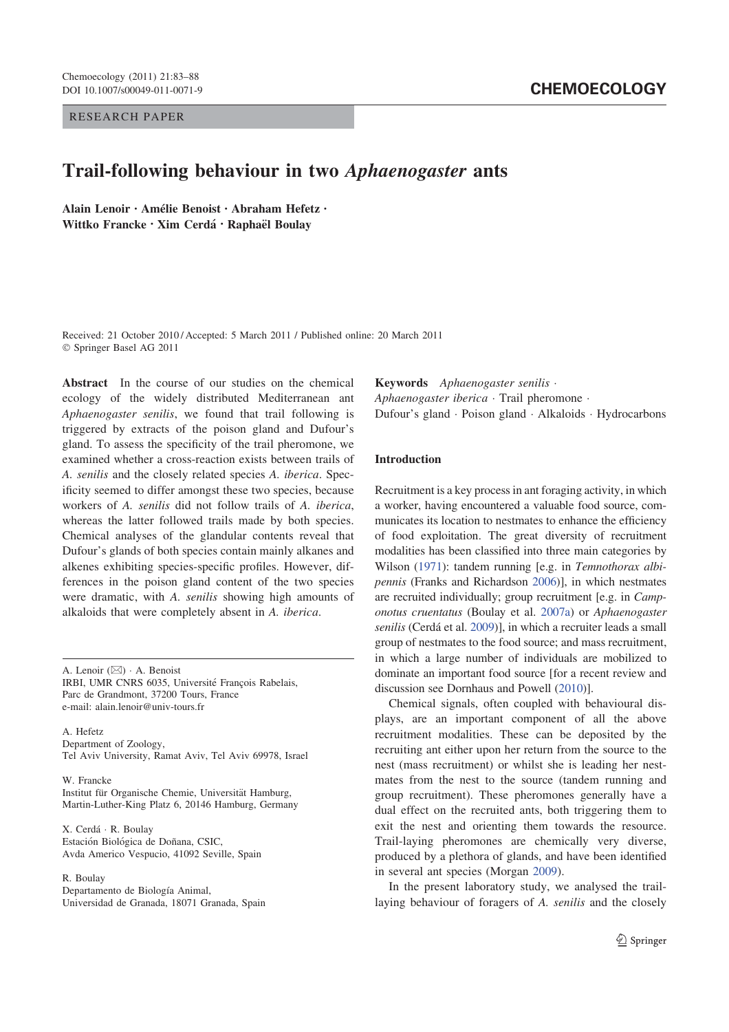RESEARCH PAPER

# Trail-following behaviour in two Aphaenogaster ants

Alain Lenoir · Amélie Benoist · Abraham Hefetz · Wittko Francke · Xim Cerdá · Raphaël Boulay

Received: 21 October 2010 / Accepted: 5 March 2011 / Published online: 20 March 2011 Springer Basel AG 2011

Abstract In the course of our studies on the chemical ecology of the widely distributed Mediterranean ant Aphaenogaster senilis, we found that trail following is triggered by extracts of the poison gland and Dufour's gland. To assess the specificity of the trail pheromone, we examined whether a cross-reaction exists between trails of A. senilis and the closely related species A. iberica. Specificity seemed to differ amongst these two species, because workers of A. senilis did not follow trails of A. iberica, whereas the latter followed trails made by both species. Chemical analyses of the glandular contents reveal that Dufour's glands of both species contain mainly alkanes and alkenes exhibiting species-specific profiles. However, differences in the poison gland content of the two species were dramatic, with A. senilis showing high amounts of alkaloids that were completely absent in A. iberica.

A. Lenoir  $(\boxtimes)$   $\cdot$  A. Benoist IRBI, UMR CNRS 6035, Université François Rabelais, Parc de Grandmont, 37200 Tours, France e-mail: alain.lenoir@univ-tours.fr

A. Hefetz Department of Zoology, Tel Aviv University, Ramat Aviv, Tel Aviv 69978, Israel

W. Francke

Institut für Organische Chemie, Universität Hamburg, Martin-Luther-King Platz 6, 20146 Hamburg, Germany

X. Cerdá · R. Boulay Estación Biológica de Doñana, CSIC, Avda Americo Vespucio, 41092 Seville, Spain

R. Boulay

Departamento de Biología Animal, Universidad de Granada, 18071 Granada, Spain Keywords Aphaenogaster senilis Aphaenogaster iberica  $\cdot$  Trail pheromone  $\cdot$ Dufour's gland · Poison gland · Alkaloids · Hydrocarbons

### Introduction

Recruitment is a key process in ant foraging activity, in which a worker, having encountered a valuable food source, communicates its location to nestmates to enhance the efficiency of food exploitation. The great diversity of recruitment modalities has been classified into three main categories by Wilson (1971): tandem running [e.g. in Temnothorax albipennis (Franks and Richardson 2006)], in which nestmates are recruited individually; group recruitment [e.g. in Camponotus cruentatus (Boulay et al. 2007a) or Aphaenogaster senilis (Cerdá et al. 2009)], in which a recruiter leads a small group of nestmates to the food source; and mass recruitment, in which a large number of individuals are mobilized to dominate an important food source [for a recent review and discussion see Dornhaus and Powell (2010)].

Chemical signals, often coupled with behavioural displays, are an important component of all the above recruitment modalities. These can be deposited by the recruiting ant either upon her return from the source to the nest (mass recruitment) or whilst she is leading her nestmates from the nest to the source (tandem running and group recruitment). These pheromones generally have a dual effect on the recruited ants, both triggering them to exit the nest and orienting them towards the resource. Trail-laying pheromones are chemically very diverse, produced by a plethora of glands, and have been identified in several ant species (Morgan 2009).

In the present laboratory study, we analysed the traillaying behaviour of foragers of A. senilis and the closely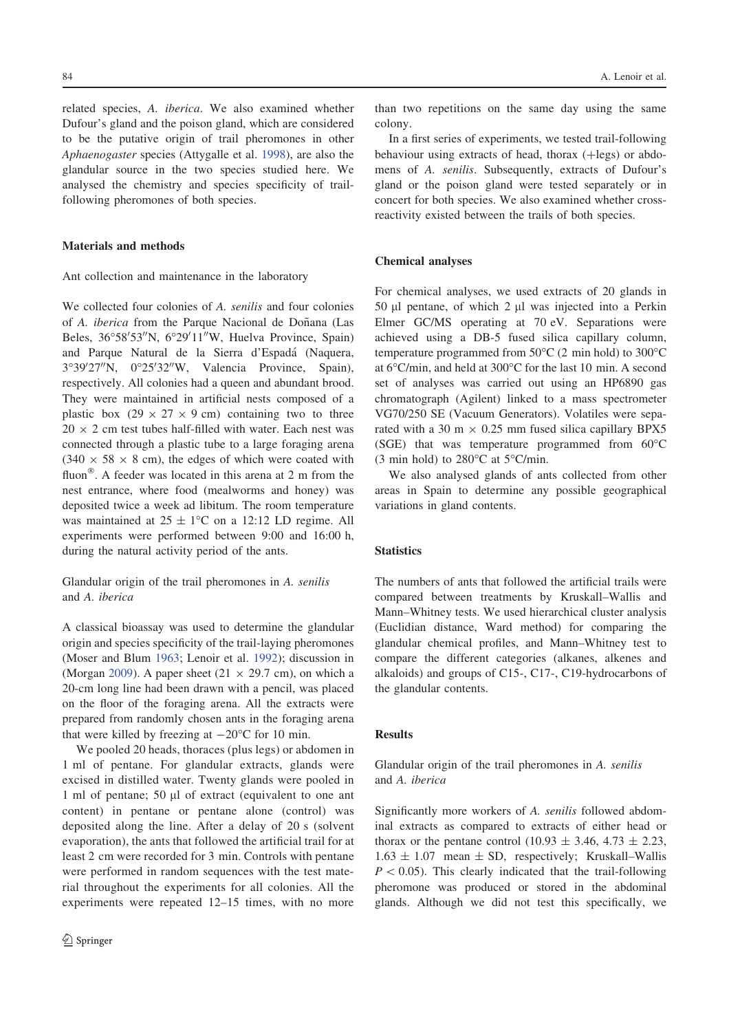related species, A. iberica. We also examined whether Dufour's gland and the poison gland, which are considered to be the putative origin of trail pheromones in other Aphaenogaster species (Attygalle et al. 1998), are also the glandular source in the two species studied here. We analysed the chemistry and species specificity of trailfollowing pheromones of both species.

#### Materials and methods

Ant collection and maintenance in the laboratory

We collected four colonies of A. senilis and four colonies of A. *iberica* from the Parque Nacional de Doñana (Las Beles, 36°58′53″N, 6°29′11″W, Huelva Province, Spain) and Parque Natural de la Sierra d'Espadá (Naquera, 3°39'27"N, 0°25'32"W, Valencia Province, Spain), respectively. All colonies had a queen and abundant brood. They were maintained in artificial nests composed of a plastic box  $(29 \times 27 \times 9 \text{ cm})$  containing two to three  $20 \times 2$  cm test tubes half-filled with water. Each nest was connected through a plastic tube to a large foraging arena  $(340 \times 58 \times 8$  cm), the edges of which were coated with fluon<sup>®</sup>. A feeder was located in this arena at  $2 \text{ m}$  from the nest entrance, where food (mealworms and honey) was deposited twice a week ad libitum. The room temperature was maintained at  $25 \pm 1$ °C on a 12:12 LD regime. All experiments were performed between 9:00 and 16:00 h, during the natural activity period of the ants.

Glandular origin of the trail pheromones in A. senilis and A. iberica

A classical bioassay was used to determine the glandular origin and species specificity of the trail-laying pheromones (Moser and Blum 1963; Lenoir et al. 1992); discussion in (Morgan 2009). A paper sheet (21  $\times$  29.7 cm), on which a 20-cm long line had been drawn with a pencil, was placed on the floor of the foraging arena. All the extracts were prepared from randomly chosen ants in the foraging arena that were killed by freezing at  $-20^{\circ}$ C for 10 min.

We pooled 20 heads, thoraces (plus legs) or abdomen in 1 ml of pentane. For glandular extracts, glands were excised in distilled water. Twenty glands were pooled in 1 ml of pentane; 50  $\mu$ l of extract (equivalent to one ant content) in pentane or pentane alone (control) was deposited along the line. After a delay of 20 s (solvent evaporation), the ants that followed the artificial trail for at least 2 cm were recorded for 3 min. Controls with pentane were performed in random sequences with the test material throughout the experiments for all colonies. All the experiments were repeated 12–15 times, with no more than two repetitions on the same day using the same colony.

In a first series of experiments, we tested trail-following behaviour using extracts of head, thorax  $(+\text{legs})$  or abdomens of A. senilis. Subsequently, extracts of Dufour's gland or the poison gland were tested separately or in concert for both species. We also examined whether crossreactivity existed between the trails of both species.

#### Chemical analyses

For chemical analyses, we used extracts of 20 glands in 50  $\mu$ l pentane, of which 2  $\mu$ l was injected into a Perkin Elmer GC/MS operating at 70 eV. Separations were achieved using a DB-5 fused silica capillary column, temperature programmed from  $50^{\circ}$ C (2 min hold) to  $300^{\circ}$ C at 6°C/min, and held at 300°C for the last 10 min. A second set of analyses was carried out using an HP6890 gas chromatograph (Agilent) linked to a mass spectrometer VG70/250 SE (Vacuum Generators). Volatiles were separated with a 30 m  $\times$  0.25 mm fused silica capillary BPX5 (SGE) that was temperature programmed from  $60^{\circ}$ C (3 min hold) to  $280^{\circ}$ C at  $5^{\circ}$ C/min.

We also analysed glands of ants collected from other areas in Spain to determine any possible geographical variations in gland contents.

#### **Statistics**

The numbers of ants that followed the artificial trails were compared between treatments by Kruskall–Wallis and Mann–Whitney tests. We used hierarchical cluster analysis (Euclidian distance, Ward method) for comparing the glandular chemical profiles, and Mann–Whitney test to compare the different categories (alkanes, alkenes and alkaloids) and groups of C15-, C17-, C19-hydrocarbons of the glandular contents.

## Results

Glandular origin of the trail pheromones in A. senilis and A. iberica

Significantly more workers of A. senilis followed abdominal extracts as compared to extracts of either head or thorax or the pentane control (10.93  $\pm$  3.46, 4.73  $\pm$  2.23,  $1.63 \pm 1.07$  mean  $\pm$  SD, respectively; Kruskall–Wallis  $P < 0.05$ ). This clearly indicated that the trail-following pheromone was produced or stored in the abdominal glands. Although we did not test this specifically, we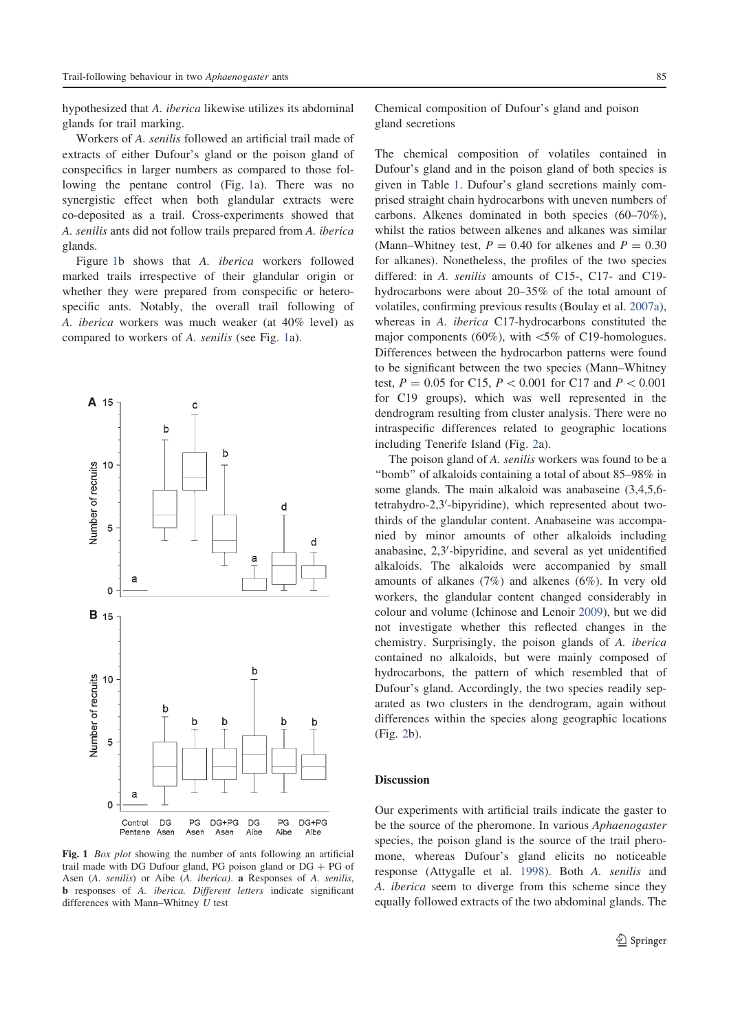hypothesized that A. iberica likewise utilizes its abdominal glands for trail marking.

Workers of A. senilis followed an artificial trail made of extracts of either Dufour's gland or the poison gland of conspecifics in larger numbers as compared to those following the pentane control (Fig. 1a). There was no synergistic effect when both glandular extracts were co-deposited as a trail. Cross-experiments showed that A. senilis ants did not follow trails prepared from A. iberica glands.

Figure 1b shows that A. iberica workers followed marked trails irrespective of their glandular origin or whether they were prepared from conspecific or heterospecific ants. Notably, the overall trail following of A. iberica workers was much weaker (at 40% level) as compared to workers of A. senilis (see Fig. 1a).



Fig. 1 *Box plot* showing the number of ants following an artificial trail made with DG Dufour gland, PG poison gland or  $DG + PG$  of Asen (A. senilis) or Aibe (A. iberica). a Responses of A. senilis, b responses of A. iberica. Different letters indicate significant differences with Mann–Whitney  $U$  test

Chemical composition of Dufour's gland and poison gland secretions

The chemical composition of volatiles contained in Dufour's gland and in the poison gland of both species is given in Table 1. Dufour's gland secretions mainly comprised straight chain hydrocarbons with uneven numbers of carbons. Alkenes dominated in both species (60–70%), whilst the ratios between alkenes and alkanes was similar (Mann–Whitney test,  $P = 0.40$  for alkenes and  $P = 0.30$ for alkanes). Nonetheless, the profiles of the two species differed: in A. senilis amounts of C15-, C17- and C19 hydrocarbons were about 20–35% of the total amount of volatiles, confirming previous results (Boulay et al. 2007a), whereas in A. iberica C17-hydrocarbons constituted the major components (60%), with  $\lt 5\%$  of C19-homologues. Differences between the hydrocarbon patterns were found to be significant between the two species (Mann–Whitney test,  $P = 0.05$  for C15,  $P < 0.001$  for C17 and  $P < 0.001$ for C19 groups), which was well represented in the dendrogram resulting from cluster analysis. There were no intraspecific differences related to geographic locations including Tenerife Island (Fig. 2a).

The poison gland of A. *senilis* workers was found to be a ''bomb'' of alkaloids containing a total of about 85–98% in some glands. The main alkaloid was anabaseine (3,4,5,6 tetrahydro-2,3'-bipyridine), which represented about twothirds of the glandular content. Anabaseine was accompanied by minor amounts of other alkaloids including anabasine, 2,3'-bipyridine, and several as yet unidentified alkaloids. The alkaloids were accompanied by small amounts of alkanes (7%) and alkenes (6%). In very old workers, the glandular content changed considerably in colour and volume (Ichinose and Lenoir 2009), but we did not investigate whether this reflected changes in the chemistry. Surprisingly, the poison glands of A. iberica contained no alkaloids, but were mainly composed of hydrocarbons, the pattern of which resembled that of Dufour's gland. Accordingly, the two species readily separated as two clusters in the dendrogram, again without differences within the species along geographic locations (Fig. 2b).

#### **Discussion**

Our experiments with artificial trails indicate the gaster to be the source of the pheromone. In various Aphaenogaster species, the poison gland is the source of the trail pheromone, whereas Dufour's gland elicits no noticeable response (Attygalle et al. 1998). Both A. senilis and A. iberica seem to diverge from this scheme since they equally followed extracts of the two abdominal glands. The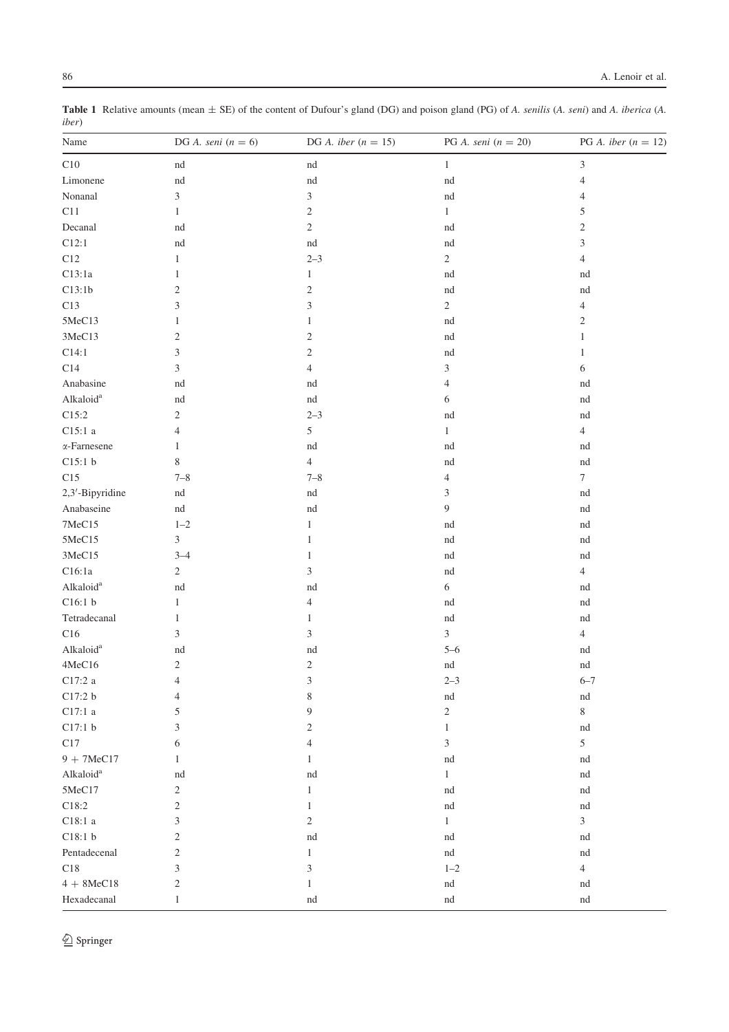|               | Table 1 Relative amounts (mean $\pm$ SE) of the content of Dufour's gland (DG) and poison gland (PG) of A. senilis (A. seni) and A. iberica (A. |  |  |
|---------------|-------------------------------------------------------------------------------------------------------------------------------------------------|--|--|
| <i>iber</i> ) |                                                                                                                                                 |  |  |

| Name                  | DG A. seni $(n = 6)$ | DG A. iber ( $n = 15$ )    | PG A. seni $(n = 20)$ | PG A. iber $(n = 12)$            |
|-----------------------|----------------------|----------------------------|-----------------------|----------------------------------|
| C10                   | nd                   | nd                         | $\mathbf{1}$          | $\mathfrak{Z}$                   |
| Limonene              | $^{\rm{nd}}$         | $^{\rm{nd}}$               | $^{\rm{nd}}$          | $\overline{4}$                   |
| Nonanal               | $\mathfrak{Z}$       | $\overline{3}$             | nd                    | 4                                |
| C11                   | $\mathbf{1}$         | $\boldsymbol{2}$           | $\mathbf{1}$          | 5                                |
| Decanal               | nd                   | $\sqrt{2}$                 | nd                    | $\sqrt{2}$                       |
| C12:1                 | $^{\rm{nd}}$         | $^{\rm{nd}}$               | $^{\rm{nd}}$          | $\mathfrak{Z}$                   |
| C12                   | 1                    | $2 - 3$                    | 2                     | $\overline{4}$                   |
| C13:1a                | 1                    | $\mathbf{1}$               | nd                    | nd                               |
| C13:1b                | $\mathfrak{2}$       | $\sqrt{2}$                 | nd                    | nd                               |
| C13                   | 3                    | 3                          | $\overline{c}$        | $\overline{\mathcal{A}}$         |
| 5MeC13                | 1                    | $\mathbf{1}$               | nd                    | $\sqrt{2}$                       |
| 3MeC13                | $\mathfrak{2}$       | $\mathfrak{2}$             | nd                    | $\mathbf{1}$                     |
| C14:1                 | 3                    | $\overline{c}$             | nd                    | $\mathbf{1}$                     |
| $\mathbf{C}14$        | 3                    | $\overline{4}$             | 3                     | 6                                |
| Anabasine             | nd                   | nd                         | 4                     | nd                               |
| Alkaloid <sup>a</sup> | nd                   | $^{\rm{nd}}$               | 6                     | nd                               |
| C15:2                 | $\mathbf{2}$         | $2 - 3$                    | nd                    | nd                               |
| C15:1 a               | $\overline{4}$       | 5                          | $\mathbf{1}$          | $\overline{4}$                   |
| $\alpha$ -Farnesene   | $\mathbf{1}$         | nd                         | nd                    | nd                               |
| C15:1 b               | 8                    | $\overline{4}$             | nd                    | $\mathop{\rm nd}\nolimits$       |
| C15                   | $7 - 8$              | $7 - 8$                    | 4                     | $\boldsymbol{7}$                 |
| 2,3'-Bipyridine       | $^{\rm nd}$          | $^{\rm{nd}}$               | 3                     | nd                               |
| Anabaseine            | $\operatorname{nd}$  | $\mathop{\rm nd}\nolimits$ | 9                     | nd                               |
| 7MeC15                | $1 - 2$              | $\mathbf{1}$               | nd                    | nd                               |
| 5MeC15                | 3                    | $\mathbf{1}$               | nd                    | nd                               |
| 3MeC15                | $3 - 4$              | $\mathbf{1}$               | nd                    | nd                               |
| C16:1a                | $\sqrt{2}$           | $\mathfrak{Z}$             | nd                    | $\overline{4}$                   |
| Alkaloid <sup>a</sup> | $^{\rm{nd}}$         | $\mathop{\rm nd}\nolimits$ | 6                     | nd                               |
| C16:1 b               | $\mathbf{1}$         | $\overline{4}$             | nd                    | $\mathop{\rm nd}\nolimits$       |
| Tetradecanal          | $\mathbf{1}$         | $\mathbf{1}$               | nd                    | nd                               |
| C16                   | $\mathfrak{Z}$       | $\mathfrak{Z}$             | 3                     | $\overline{4}$                   |
| Alkaloid <sup>a</sup> |                      |                            | $5 - 6$               |                                  |
| 4MeC16                | nd<br>$\overline{c}$ | nd<br>$\sqrt{2}$           | $^{\rm{nd}}$          | nd<br>$\mathop{\rm nd}\nolimits$ |
|                       | $\overline{4}$       | $\overline{3}$             | $2 - 3$               | $6 - 7$                          |
| C17:2 a               |                      |                            |                       |                                  |
| C17:2 b               | 4                    | 8                          | nd                    | nd                               |
| $C17:1$ a             | 5                    | 9                          | $\mathbf{2}$          | $\,$ 8 $\,$                      |
| C17:1 b               | 3                    | $\mathfrak{2}$             | 1                     | nd                               |
| C17                   | 6                    | 4                          | 3                     | $\sqrt{5}$                       |
| $9 + 7MeC17$          | 1                    | 1                          | $^{\rm nd}$           | nd                               |
| Alkaloid <sup>a</sup> | nd                   | nd                         | $\mathbf{1}$          | nd                               |
| 5MeC17                | $\overline{c}$       | $\mathbf{1}$               | $^{\rm nd}$           | nd                               |
| $\text{C}18\text{:}2$ | $\mathfrak{2}$       | $\mathbf{1}$               | $^{\rm nd}$           | nd                               |
| C18:1a                | 3                    | $\sqrt{2}$                 | $\mathbf{1}$          | $\overline{3}$                   |
| C18:1 b               | $\mathfrak{2}$       | $\mathop{\rm nd}\nolimits$ | nd                    | nd                               |
| Pentadecenal          | $\mathfrak{2}$       | $\mathbf{1}$               | $^{\rm nd}$           | nd                               |
| C18                   | 3                    | 3                          | $1 - 2$               | $\sqrt{4}$                       |
| $4 + 8$ MeC18         | $\boldsymbol{2}$     | $\mathbf{1}$               | $^{\rm nd}$           | nd                               |
| Hexadecanal           | $\mathbf{1}$         | $^{\rm nd}$                | $^{\rm nd}$           | $^{\rm nd}$                      |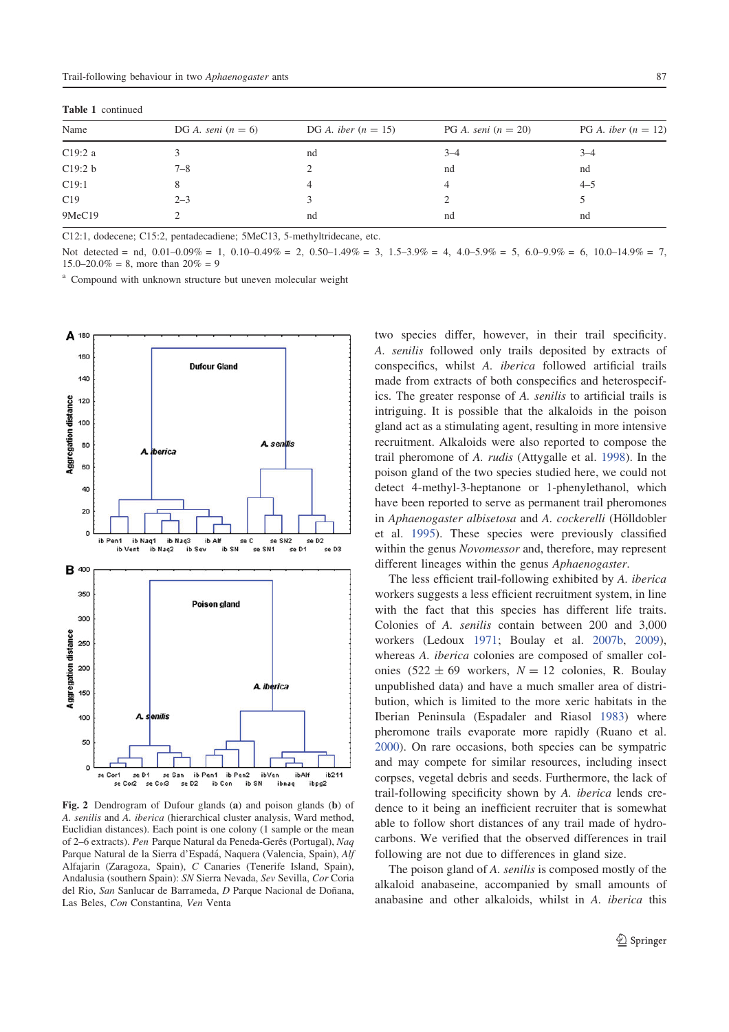Table 1 continued

| Name    | DG A. seni $(n = 6)$ | DG A. iber $(n = 15)$ | PG A. seni $(n = 20)$ | PG A. iber $(n = 12)$ |  |
|---------|----------------------|-----------------------|-----------------------|-----------------------|--|
|         |                      |                       |                       |                       |  |
| C19:2a  |                      | nd                    | $3 - 4$               | $3 - 4$               |  |
| C19:2 b | $7 - 8$              |                       | nd                    | nd                    |  |
| C19:1   |                      |                       | 4                     | $4 - 5$               |  |
| C19     | $2 - 3$              |                       |                       |                       |  |
| 9MeC19  |                      | nd                    | nd                    | nd                    |  |

C12:1, dodecene; C15:2, pentadecadiene; 5MeC13, 5-methyltridecane, etc.

Not detected = nd,  $0.01-0.09\% = 1$ ,  $0.10-0.49\% = 2$ ,  $0.50-1.49\% = 3$ ,  $1.5-3.9\% = 4$ ,  $4.0-5.9\% = 5$ ,  $6.0-9.9\% = 6$ ,  $10.0-14.9\% = 7$ ,  $15.0-20.0\% = 8$ , more than  $20\% = 9$ 

<sup>a</sup> Compound with unknown structure but uneven molecular weight



Fig. 2 Dendrogram of Dufour glands (a) and poison glands (b) of A. senilis and A. iberica (hierarchical cluster analysis, Ward method, Euclidian distances). Each point is one colony (1 sample or the mean of 2–6 extracts). Pen Parque Natural da Peneda-Gerês (Portugal), Naq Parque Natural de la Sierra d'Espadá, Naquera (Valencia, Spain), Alf Alfajarin (Zaragoza, Spain), C Canaries (Tenerife Island, Spain), Andalusia (southern Spain): SN Sierra Nevada, Sev Sevilla, Cor Coria del Rio, San Sanlucar de Barrameda, D Parque Nacional de Doñana, Las Beles, Con Constantina, Ven Venta

two species differ, however, in their trail specificity. A. senilis followed only trails deposited by extracts of conspecifics, whilst A. iberica followed artificial trails made from extracts of both conspecifics and heterospecifics. The greater response of A. senilis to artificial trails is intriguing. It is possible that the alkaloids in the poison gland act as a stimulating agent, resulting in more intensive recruitment. Alkaloids were also reported to compose the trail pheromone of A. rudis (Attygalle et al. 1998). In the poison gland of the two species studied here, we could not detect 4-methyl-3-heptanone or 1-phenylethanol, which have been reported to serve as permanent trail pheromones in Aphaenogaster albisetosa and A. cockerelli (Hölldobler et al. 1995). These species were previously classified within the genus Novomessor and, therefore, may represent different lineages within the genus Aphaenogaster.

The less efficient trail-following exhibited by A. iberica workers suggests a less efficient recruitment system, in line with the fact that this species has different life traits. Colonies of A. senilis contain between 200 and 3,000 workers (Ledoux 1971; Boulay et al. 2007b, 2009), whereas A. iberica colonies are composed of smaller colonies  $(522 \pm 69$  workers,  $N = 12$  colonies, R. Boulay unpublished data) and have a much smaller area of distribution, which is limited to the more xeric habitats in the Iberian Peninsula (Espadaler and Riasol 1983) where pheromone trails evaporate more rapidly (Ruano et al. 2000). On rare occasions, both species can be sympatric and may compete for similar resources, including insect corpses, vegetal debris and seeds. Furthermore, the lack of trail-following specificity shown by A. iberica lends credence to it being an inefficient recruiter that is somewhat able to follow short distances of any trail made of hydrocarbons. We verified that the observed differences in trail following are not due to differences in gland size.

The poison gland of A. senilis is composed mostly of the alkaloid anabaseine, accompanied by small amounts of anabasine and other alkaloids, whilst in A. iberica this